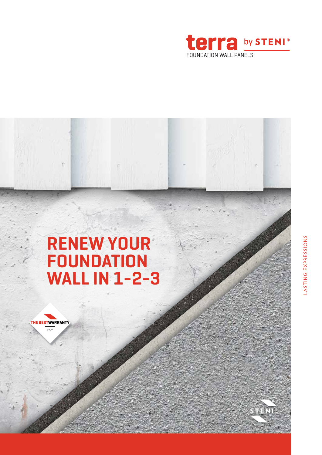

## **RENEW YOUR FOUNDATION WALL IN 1-2-3**

**THE BESTWARRANTY** 25Y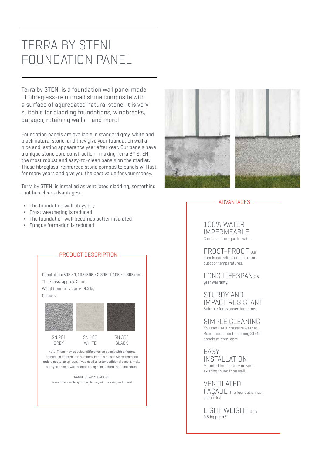### TERRA BY STENI FOUNDATION PANEL

Terra by STENI is a foundation wall panel made of fibreglass-reinforced stone composite with a surface of aggregated natural stone. It is very suitable for cladding foundations, windbreaks, garages, retaining walls – and more!

Foundation panels are available in standard grey, white and black natural stone, and they give your foundation wall a nice and lasting appearance year after year. Our panels have a unique stone core construction, making Terra BY STENI the most robust and easy-to-clean panels on the market. These fibreglass-reinforced stone composite panels will last for many years and give you the best value for your money.

Terra by STENI is installed as ventilated cladding, something that has clear advantages:

- The foundation wall stays dry
- Frost weathering is reduced
- The foundation wall becomes better insulated
- ◊ Fungus formation is reduced





#### ADVANTAGES

100% WATER IMPERMEABLE Can be submerged in water.

FROST-PROOF Our panels can withstand extreme outdoor temperatures.

LONG LIFESPAN 25 year warranty.

STURDY AND IMPACT RESISTANT Suitable for exposed locations.

SIMPLE CLEANING You can use a pressure washer. Read more about cleaning STENI panels at steni.com

EASY INSTALLATION Mounted horizontally on your existing foundation wall.

VENTILATED FAÇADE The foundation wall keeps dry!

LIGHT WEIGHT Only 9.5 kg per m2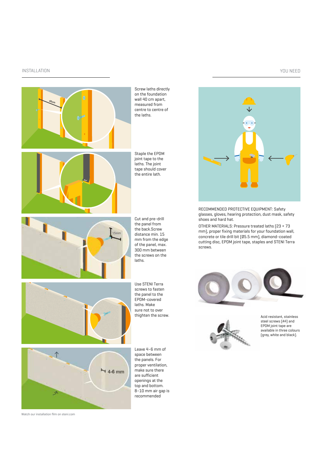#### INSTALLATION YOU NEED

# **40cm**

Screw laths directly on the foundation wall 40 cm apart, measured from centre to centre of the laths.

Staple the EPDM joint tape to the laths. The joint tape should cover the entire lath.



Cut and pre-drill the panel from the back.Screw distance min. 15 mm from the edge of the panel, max. 300 mm between the screws on the laths.



Use STENI Terra screws to fasten the panel to the EPDM-covered laths. Make sure not to over thighten the screw.



Watch our installation film on steni.com

Leave 4–6 mm of space between the panels. For proper ventilation, make sure there are sufficient openings at the top and bottom. 8–10 mm air gap is recommended

RECOMMENDED PROTECTIVE EQUIPMENT: Safety glasses, gloves, hearing protection, dust mask, safety shoes and hard hat.

OTHER MATERIALS: Pressure treated laths (23 × 73 mm), proper fixing materials for your foundation wall, concrete or tile drill bit (Ø5.5 mm), diamond-coated cutting disc, EPDM joint tape, staples and STENI Terra screws.





Acid resistant, stainless steel screws (A4) and EPDM joint tape are available in three colours (grey, white and black).